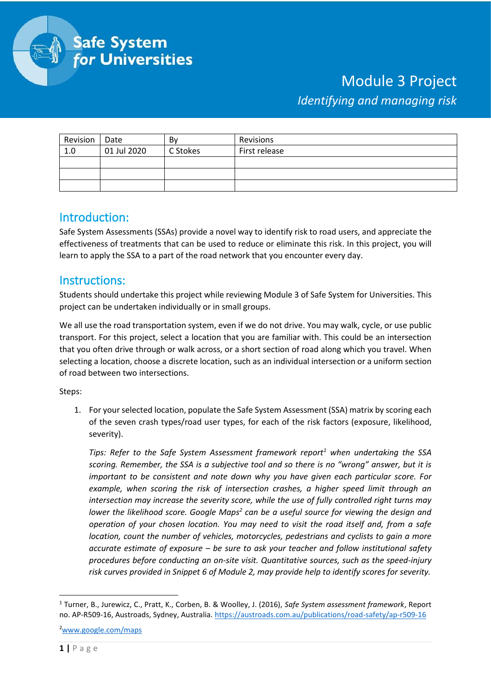

## Module 3 Project *Identifying and managing risk*

| Revision | Date        | Bv       | Revisions     |
|----------|-------------|----------|---------------|
| 1.0      | 01 Jul 2020 | C Stokes | First release |
|          |             |          |               |
|          |             |          |               |
|          |             |          |               |

## Introduction:

Safe System Assessments (SSAs) provide a novel way to identify risk to road users, and appreciate the effectiveness of treatments that can be used to reduce or eliminate this risk. In this project, you will learn to apply the SSA to a part of the road network that you encounter every day.

## Instructions:

Students should undertake this project while reviewing Module 3 of Safe System for Universities. This project can be undertaken individually or in small groups.

We all use the road transportation system, even if we do not drive. You may walk, cycle, or use public transport. For this project, select a location that you are familiar with. This could be an intersection that you often drive through or walk across, or a short section of road along which you travel. When selecting a location, choose a discrete location, such as an individual intersection or a uniform section of road between two intersections.

## Steps:

1. For your selected location, populate the Safe System Assessment (SSA) matrix by scoring each of the seven crash types/road user types, for each of the risk factors (exposure, likelihood, severity).

*Tips: Refer to the Safe System Assessment framework report<sup>1</sup> when undertaking the SSA scoring. Remember, the SSA is a subjective tool and so there is no "wrong" answer, but it is important to be consistent and note down why you have given each particular score. For example, when scoring the risk of intersection crashes, a higher speed limit through an intersection may increase the severity score, while the use of fully controlled right turns may*  lower the likelihood score. Google Maps<sup>2</sup> can be a useful source for viewing the design and *operation of your chosen location. You may need to visit the road itself and, from a safe location, count the number of vehicles, motorcycles, pedestrians and cyclists to gain a more accurate estimate of exposure – be sure to ask your teacher and follow institutional safety procedures before conducting an on-site visit. Quantitative sources, such as the speed-injury risk curves provided in Snippet 6 of Module 2, may provide help to identify scores for severity.*

<sup>2</sup>[www.google.com/maps](http://www.google.com/maps)

<sup>1</sup> Turner, B., Jurewicz, C., Pratt, K., Corben, B. & Woolley, J. (2016), *Safe System assessment framework*, Report no. AP-R509-16, Austroads, Sydney, Australia.<https://austroads.com.au/publications/road-safety/ap-r509-16>